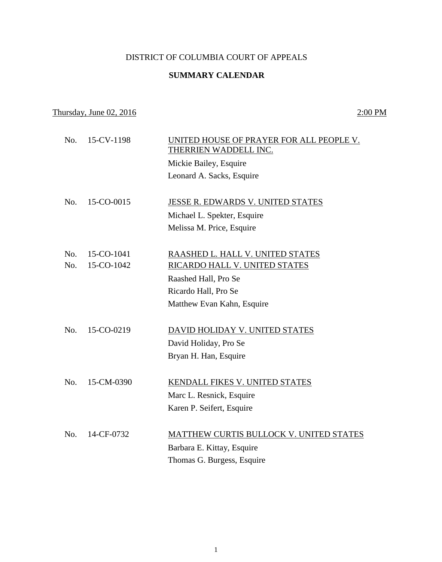# DISTRICT OF COLUMBIA COURT OF APPEALS

### **SUMMARY CALENDAR**

# Thursday, June  $02, 2016$  2:00 PM

| No. | 15-CV-1198 | UNITED HOUSE OF PRAYER FOR ALL PEOPLE V.<br>THERRIEN WADDELL INC. |
|-----|------------|-------------------------------------------------------------------|
|     |            | Mickie Bailey, Esquire                                            |
|     |            | Leonard A. Sacks, Esquire                                         |
| No. | 15-CO-0015 | JESSE R. EDWARDS V. UNITED STATES                                 |
|     |            | Michael L. Spekter, Esquire                                       |
|     |            | Melissa M. Price, Esquire                                         |
|     |            |                                                                   |
| No. | 15-CO-1041 | RAASHED L. HALL V. UNITED STATES                                  |
| No. | 15-CO-1042 | RICARDO HALL V. UNITED STATES                                     |
|     |            | Raashed Hall, Pro Se                                              |
|     |            | Ricardo Hall, Pro Se                                              |
|     |            | Matthew Evan Kahn, Esquire                                        |
|     |            |                                                                   |
| No. | 15-CO-0219 | DAVID HOLIDAY V. UNITED STATES                                    |
|     |            | David Holiday, Pro Se                                             |
|     |            | Bryan H. Han, Esquire                                             |
| No. | 15-CM-0390 | KENDALL FIKES V. UNITED STATES                                    |
|     |            | Marc L. Resnick, Esquire                                          |
|     |            | Karen P. Seifert, Esquire                                         |
|     |            |                                                                   |
| No. | 14-CF-0732 | MATTHEW CURTIS BULLOCK V. UNITED STATES                           |
|     |            | Barbara E. Kittay, Esquire                                        |
|     |            | Thomas G. Burgess, Esquire                                        |
|     |            |                                                                   |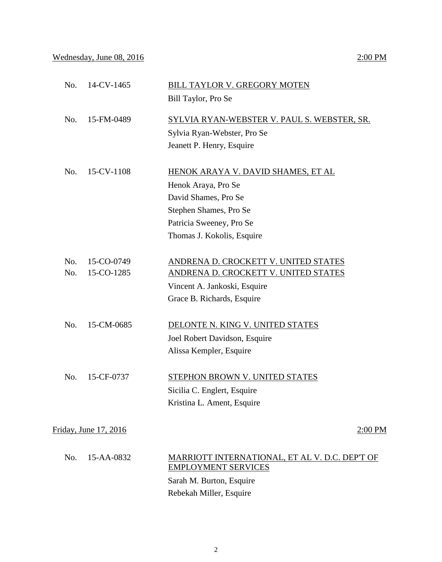## Wednesday, June 08, 2016 2:00 PM

| No. | 14-CV-1465            | <b>BILL TAYLOR V. GREGORY MOTEN</b>                |
|-----|-----------------------|----------------------------------------------------|
|     |                       | Bill Taylor, Pro Se                                |
| No. | 15-FM-0489            | <u>SYLVIA RYAN-WEBSTER V. PAUL S. WEBSTER, SR.</u> |
|     |                       | Sylvia Ryan-Webster, Pro Se                        |
|     |                       | Jeanett P. Henry, Esquire                          |
| No. | 15-CV-1108            | HENOK ARAYA V. DAVID SHAMES, ET AL                 |
|     |                       | Henok Araya, Pro Se                                |
|     |                       | David Shames, Pro Se                               |
|     |                       | Stephen Shames, Pro Se                             |
|     |                       | Patricia Sweeney, Pro Se                           |
|     |                       | Thomas J. Kokolis, Esquire                         |
| No. | 15-CO-0749            | ANDRENA D. CROCKETT V. UNITED STATES               |
| No. | 15-CO-1285            | ANDRENA D. CROCKETT V. UNITED STATES               |
|     |                       | Vincent A. Jankoski, Esquire                       |
|     |                       | Grace B. Richards, Esquire                         |
| No. | 15-CM-0685            | DELONTE N. KING V. UNITED STATES                   |
|     |                       | Joel Robert Davidson, Esquire                      |
|     |                       | Alissa Kempler, Esquire                            |
| No. | 15-CF-0737            | STEPHON BROWN V. UNITED STATES                     |
|     |                       | Sicilia C. Englert, Esquire                        |
|     |                       | Kristina L. Ament, Esquire                         |
|     | Friday, June 17, 2016 | $2:00$ PM                                          |
| No. | 15-AA-0832            | MARRIOTT INTERNATIONAL, ET AL V. D.C. DEP'T OF     |
|     |                       | <b>EMPLOYMENT SERVICES</b>                         |
|     |                       | Sarah M. Burton, Esquire                           |
|     |                       | Rebekah Miller, Esquire                            |
|     |                       |                                                    |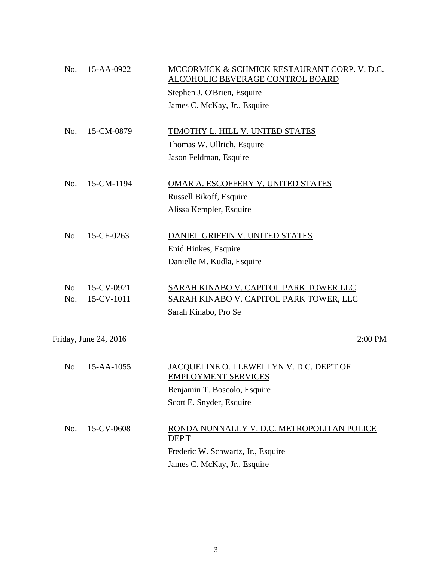| No. | 15-AA-0922            | MCCORMICK & SCHMICK RESTAURANT CORP. V. D.C.<br>ALCOHOLIC BEVERAGE CONTROL BOARD |
|-----|-----------------------|----------------------------------------------------------------------------------|
|     |                       | Stephen J. O'Brien, Esquire                                                      |
|     |                       | James C. McKay, Jr., Esquire                                                     |
| No. | 15-CM-0879            | TIMOTHY L. HILL V. UNITED STATES                                                 |
|     |                       | Thomas W. Ullrich, Esquire                                                       |
|     |                       | Jason Feldman, Esquire                                                           |
| No. | 15-CM-1194            | OMAR A. ESCOFFERY V. UNITED STATES                                               |
|     |                       | Russell Bikoff, Esquire                                                          |
|     |                       | Alissa Kempler, Esquire                                                          |
| No. | 15-CF-0263            | DANIEL GRIFFIN V. UNITED STATES                                                  |
|     |                       | Enid Hinkes, Esquire                                                             |
|     |                       | Danielle M. Kudla, Esquire                                                       |
| No. | 15-CV-0921            | SARAH KINABO V. CAPITOL PARK TOWER LLC                                           |
| No. | 15-CV-1011            | SARAH KINABO V. CAPITOL PARK TOWER, LLC                                          |
|     |                       | Sarah Kinabo, Pro Se                                                             |
|     | Friday, June 24, 2016 | $2:00$ PM                                                                        |
| No. | 15-AA-1055            | JACQUELINE O. LLEWELLYN V. D.C. DEP'T OF<br><b>EMPLOYMENT SERVICES</b>           |
|     |                       | Benjamin T. Boscolo, Esquire                                                     |
|     |                       | Scott E. Snyder, Esquire                                                         |
| No. | 15-CV-0608            | RONDA NUNNALLY V. D.C. METROPOLITAN POLICE<br>DEP'T                              |
|     |                       | Frederic W. Schwartz, Jr., Esquire                                               |
|     |                       | James C. McKay, Jr., Esquire                                                     |